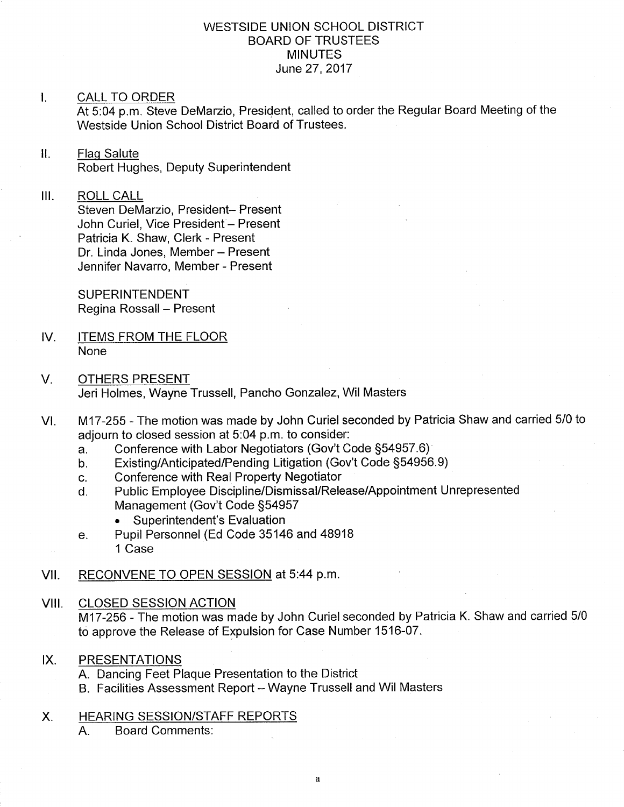### WESTSIDE UNION SCHOOL DISTRICT BOARD OF TRUSTEES **MINUTES** June 27,2017

### I. CALL TO ORDER

At 5:04 p.m. Steve DeMarzio, President, called to order the Regular Board Meeting of the Westside Union School District Board of Trustees.

ll. Flaq Salute Robert Hughes, Deputy Superintendent

#### $III.$ ROLL CALL

Steven DeMarzio, President- Present John Curiel, Vice President - Present Patricia K. Shaw, Clerk - Present Dr. Linda Jones, Member - Present Jennifer Navarro, Member - Present

SUPERINTENDENT Regina Rossall - Present

- ITEMS FROM THE FLOOR None IV
- OTHERS PRESENT Jeri Holmes, Wayne Trussell, Pancho Gonzalez, Wil Masters V.
- M17-255 The motion was made by John Curiel seconded by Patricia Shaw and carried 5/0 to adjourn to closed session at 5:04 p.m. to consider:<br>a. Conference with Labor Negotiators (Gov't Code §54957.6) VI
	-
	- a. Conference with Labor Negotiators (Gov't Code §54957.6)<br>b. Existing/Anticipated/Pending Litigation (Gov't Code §54956.9)<br>c. Conference with Real Property Negotiator
	-
	- c. Conference with Real Property Negotiator<br>d. Public Employee Discipline/Dismissal/Release/Appointment Unrepresented Management (Gov't Code §54957
		- . Superintendent's Evaluation
	- e. Pupil Personnel (Ed Code 35146 and 48918 1 Case
- VII. RECONVENE TO OPEN SESSION at 5:44 p.m.

### VIII. CLOSED SESSION ACTION

M17-256 - The motion was made by John Curiel seconded by Patricia K. Shaw and carried 5/0 to approve the Release of Expulsion for Case Number 1516-07.

### IX. PRESENTATIONS

- A. Dancing Feet Plaque Presentation to the District
- B. Facilities Assessment Report Wayne Trussell and Wil Masters

# X. HEARING SESSION/STAFF REPORTS

A. Board Comments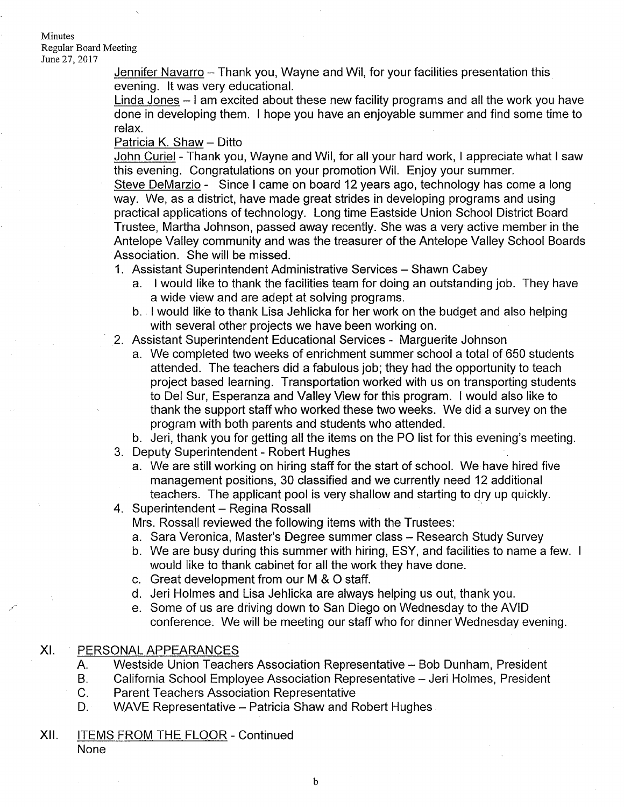### Minutes Regular Board Meeting June 27, 2017

Jennifer Navarro - Thank you, Wayne and Wil, for your facilities presentation this evening. lt was very educational.

Linda Jones  $-1$  am excited about these new facility programs and all the work you have done in developing them. I hope you have an enjoyable summer and find some time to relax.

### Patricia K. Shaw - Ditto

John Curiel - Thank you, Wayne and Wil, for all your hard work, I appreciate what I saw this evening. Congratulations on your promotion Wil. Enjoy your summer.

Steve DeMarzio - Since I came on board <sup>12</sup> years ago, technology has come a long way. We, as a district, have made great strides in developing programs and using practical applications of technology. Long time Eastside Union School District Board Trustee, Martha Johnson, passed away recently. She was a very active member in the Antelope Valley community and was the treasurer of the Antelope Valley School Boards Association. She will be missed.

- 1. Assistant Superintendent Administrative Services Shawn Cabey
	- a. I would like to thank the facilities team for doing an outstanding job. They have <sup>a</sup>wide view and are adept at solving programs. b. I would like to thank Lisa Jehlicka for her work on the budget and also helping
	- with several other projects we have been working on.
- 2. Assistant Superintendent Educational Services Marguerite Johnson
	- a. We completed two weeks of enrichment summer school a total of 650 students attended. The teachers did a fabulous job; they had the opportunity to teach project based learning. Transportation worked with us on transporting students to Del Sur, Esperanza and Valley View for this program. I would also like to thank the support staff who worked these two weeks. We did a survey on the program with both parents and students who attended.

b. Jeri, thank you for getting all the items on the PO list for this evening's meeting.

- 3. Deputy Superintendent Robert Hughes
- a. We are still working on hiring staff for the start of school. We have hired five management positions, 30 classified and we currently need 12 additional teachers. The applicant pool is very shallow and starting to dry up quickly.<br>4. Superintendent – Regina Rossall
- 

Mrs. Rossall reviewed the following items with the Trustees:

- 
- a. Sara Veronica, Master's Degree summer class Research Study Survey<br>b. We are busy during this summer with hiring, ESY, and facilities to name a few. I would like to thank cabinet for all the work they have done.
- c. Great development from our M & O staff.
- d. Jeri Holmes and Lisa Jehlicka are always helping us out, thank you.
- e. Some of us are driving down to San Diego on Wednesday to the AVID conference. We will be meeting our staff who for dinner Wednesday evening.

#### XI PERSONAL APPEARANCES

- 
- A. Westside Union Teachers Association Representative Bob Dunham, President<br>B. California School Employee Association Representative Jeri Holmes, President<br>C. Parent Teachers Association Representative<br>D. WAVE Represen
- 
- 
- Xll. ITEMS FROM THE FLOOR Continued

None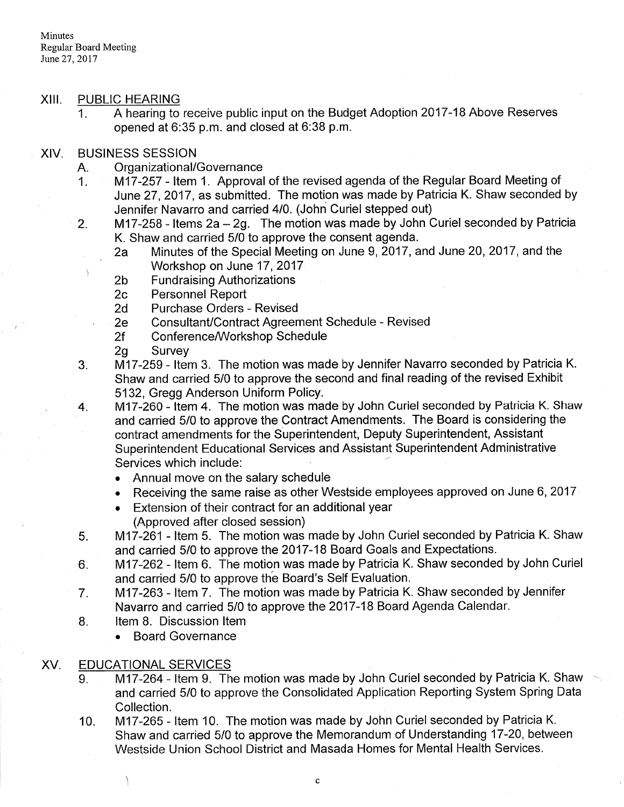# XIII. PUBLIC HEARING

1. <sup>A</sup>hearing to receive public input on the Budget Adoption 2017-18 Above Reserves opened at 6:35 p.m. and closed at 6:38 p.m.

### XIV

- 
- BUSINESS SESSION<br>A. Organizational/Governance<br>1. M17-257 Item 1. Approval of the revised agenda of the Regular Board Meeting of June 27,2017, as submitted. The motion was made by Patricia K. Shaw seconded by
- Jennifer Navarro and carried 4/0. (John Curiel stepped out)<br>2. 117-258 Items 2a 2g. The motion was made by John Curiel seconded by Patricia<br>1. K. Shaw and carried 5/0 to approve the consent agenda.
	- 2a Minutes of the Special Meeting on June 9, 2017, and June 20, 2017, and the
	-
	-
	-
	-
	-
	-
- Workshop on June 17, 2017<br>
2b Fundraising Authorizations<br>
2c Personnel Report<br>
2d Purchase Orders Revised<br>
2e Consultant/Contract Agreement Schedule Revised<br>
2f Conference/Workshop Schedule<br>
2g Survey<br>
3. M17-259 Ite Shaw and carried 5/0 to approve the second and final reading of the revised Exhibit 5132, Gregg Anderson Uniform Policy.
- 4. Gregg Andr 260 Item 4. The motion was made by John Curiel seconded by Patricia K. Shaw and carried 5/0 to approve the Contract Amendments. The Board is considering the contract amendments for the Superintendent, Deputy Superintendent, Assistant Superintendent Educational Services and Assistant Superintendent Administrative Services which include:
	- . Annual move on the salary schedule
	- . Receiving the same raise as other Westside employees approved on June 6,2017
	- . Extension of their contract for an additional year
- (Approved after closed session)<br>5. **INT-261- ltem 5.** The motion was made by John Curiel seconded by Patricia K. Shaw<br>3. and carried 5/0 to approve the 2017-18 Board Goals and Expectations.
- 6. M17-262 Item 6. The motion was made by Patricia K. Shaw seconded by John Curiel
- and carried 5/0 to approve the Board's Self Evaluation.<br>7. **M17-263 Item 7. The motion was made by Patricia K. Shaw seconded by Jennifer** Navarro and carried 5/0 to approve the 2017-18 Board Agenda Calendar.<br>8. ltem 8. Discussion Item
	- - Board Governance

# XV. EDUCATIONAL SERVICES

Ι

- 9. M17-264 Item 9. The motion was made by John Curiel seconded by Patricia K. Shaw and carried 5/0 to approve the Consolidated Application Reporting System Spring Data Collection.
- M17-265 Item 10. The motion was made by John Curiel seconded by Patricia K. Shaw and carried 5/0 to approve the Memorandum of Understanding 17-20, between Westside Union School District and Masada Homes for Mental Health Services. 10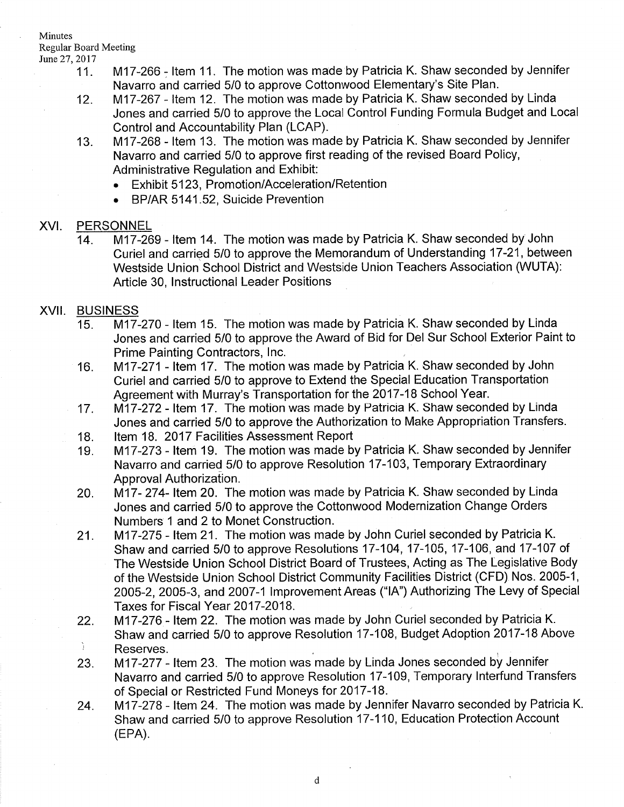# Minutes Regular Board Meeting

- 
- June 27, 2017<br>11. **M17-266 Item 11. The motion was made by Patricia K. Shaw seconded by Jennifer** Navarro and carried 5/0 to approve Cottonwood Elementary's Site Plan.<br>12. M17-267 - Item 12. The motion was made by Patricia K. Shaw seconded by Linda
	- Jones and carried 5/0 to approve the Local Control Funding Formula Budget and Local
	- Control and Accountability Plan (LCAP).<br>13. **M17-268 Item 13. The motion was made by Patricia K. Shaw seconded by Jennifer** Navarro and carried 5/0 to approve first reading of the revised Board Policy, Administrative Regulation and Exhibit:
		- . Exhibit 5123, Promotion/Acceleration/Retention
		- . BP/AR 5141.52, Suicide Prevention

### XVI. PERSONNEL

14. M17-269 - Item 14. The motion was made by Patricia K. Shaw seconded by John Curiel and carried 5/0 to approve the Memorandum of Understanding 17-21, between Westside Union School District and Westside Union Teachers Association (WUTA): Article 30, lnstructional Leader Positions

### XVII. BUSINESS

- <sup>15</sup> M17-270 ltem 15. The motion was made by Patricia K. Shaw seconded by Linda Jones and carried 5/0 to approve the Award of Bid for Del Sur School Exterior Paint to Prime Painting Contractors, lnc.
- M17-271 Item 17. The motion was made by Patricia K. Shaw seconded by John Curiel and carried 5/0 to approve to Extend the Special Education Transportation Agreement with Murray's Transportation for the 2017-18 School Year. 16
- M17-272 Item 17. The motion was made by Patricia K. Shaw seconded by Linda Jones and carried 5/0 to approve the Authorization to Make Appropriation Transfers. 17
- Item 18. 2017 Facilities Assessment Report 18
- M17-273 Item 19. The motion was made by Patricia K. Shaw seconded by Jennifer Navarro and carried 5/0 to approve Resolution 17-103, Temporary Extraordinary Approval Authorization. 19
- M17- 274- Item 20. The motion was made by Patricia K. Shaw seconded by Linda Jones and carried 5/0 to approve the Cottonwood Modernization Change Orders Numbers 1 and 2 to Monet Construction. 20
- M17-275 Item 21. The motion was made by John Curiel seconded by Patricia K. Shaw and carried 5/0 to approve Resolutions 17-104,17-105,17-106, and 17-107 of The Westside Union School District Board of Trustees, Acting as The Legislative Body of the Westside Union School District Community Facilities District (CFD) Nos. 2005-1, 2005-2, 2005-3, and 2007-1 Improvement Areas ("IA") Authorizing The Levy of Special Taxes for Fiscal Year 2017-2018. 21.
- M17-276 Item 22. The motion was made by John Curiel seconded by Patricia K. 22 Shaw and carried 5/0 to approve Resolution 17-108, Budget Adoption 2017-18 Above Ĵ. Reserves.
- M17-277 Item 23. The motion was made by Linda Jones seconded by Jennifer Navarro and carried 5/0 to approve Resolution 17-109, Temporary lnterfund Transfers of Special or Restricted Fund Moneys for 2017-18. 23
- M17-278 ltem 24. The motion was made by Jennifer Navarro seconded by Patricia K. Shaw and carried 5/0 to approve Resolution 17-110, Education Protection Account (EPA). 24